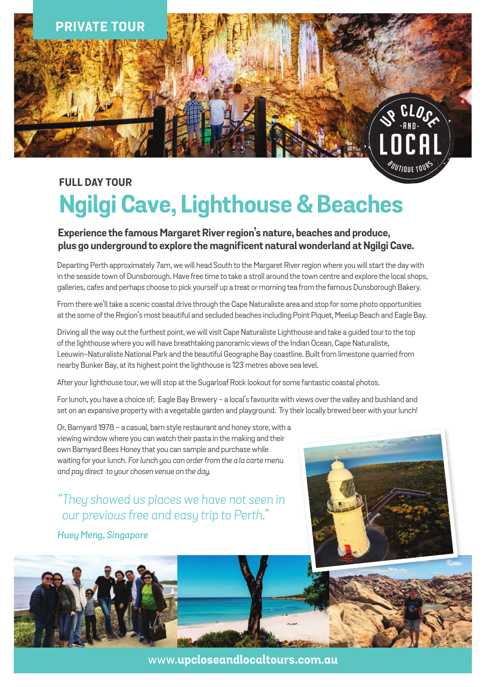

# **FULL DAY TOUR Ngilgi Cave, Lighthouse & Beaches**

### **Experience the famous Margaret River region's nature, beaches and produce, plus go underground to explore the magnificent natural wonderland at Ngilgi Cave.**

Departing Perth approximately 7am, we will head South to the Margaret River region where you will start the day with in the seaside town of Dunsborough. Have free time to take a stroll around the town centre and explore the local shops, galleries, cafes and perhaps choose to pick yourself up a treat or morning tea from the famous Dunsborough Bakery.

From there we'll take a scenic coastal drive through the Cape Naturaliste area and stop for some photo opportunities at the some of the Region's most beautiful and secluded beaches including Point Piquet, Meelup Beach and Eagle Bay.

Driving all the way out the furthest point, we will visit Cape Naturaliste Lighthouse and take a guided tour to the top of the lighthouse where you will have breathtaking panoramic views of the Indian Ocean, Cape Naturaliste, Leeuwin-Naturaliste National Park and the beautiful Geographe Bay coastline. Built from limestone quarried from nearby Bunker Bay, at its highest point the lighthouse is 123 metres above sea level.

After your lighthouse tour, we will stop at the Sugarloaf Rock lookout for some fantastic coastal photos.

For lunch, you have a choice of; Eagle Bay Brewery - a local's favourite with views over the valley and bushland and set on an expansive property with a vegetable garden and playground. Try their locally brewed beer with your lunch!

Or, Barnyard 1978 - a casual, barn style restaurant and honey store, with a viewing window where you can watch their pasta in the making and their own Barnyard Bees Honey that you can sample and purchase while waiting for your lunch. *For lunch you can order from the a la carte menu and pay direct to your chosen venue on the day.* 

*"They showed us places we have not seen in our previous free and easy trip to Perth."*

*Huey Meng, Singapore*





www.**upcloseandlocaltours.com.au**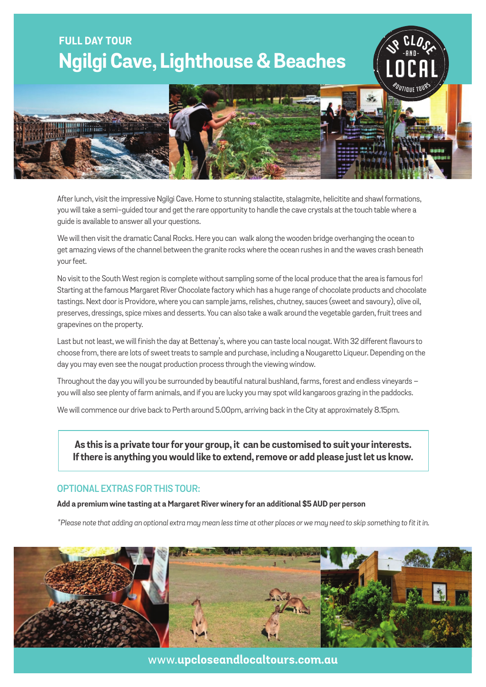## **FULL DAY TOUR Ngilgi Cave, Lighthouse & Beaches**



-A N D -

**US** CLOSS

After lunch, visit the impressive Ngilgi Cave. Home to stunning stalactite, stalagmite, helicitite and shawl formations, you will take a semi-guided tour and get the rare opportunity to handle the cave crystals at the touch table where a guide is available to answer all your questions.

We will then visit the dramatic Canal Rocks. Here you can walk along the wooden bridge overhanging the ocean to get amazing views of the channel between the granite rocks where the ocean rushes in and the waves crash beneath your feet.

No visit to the South West region is complete without sampling some of the local produce that the area is famous for! Starting at the famous Margaret River Chocolate factory which has a huge range of chocolate products and chocolate tastings. Next door is Providore, where you can sample jams, relishes, chutney, sauces (sweet and savoury), olive oil, preserves, dressings, spice mixes and desserts. You can also take a walk around the vegetable garden, fruit trees and grapevines on the property.

Last but not least, we will finish the day at Bettenay's, where you can taste local nougat. With 32 different flavours to choose from, there are lots of sweet treats to sample and purchase, including a Nougaretto Liqueur. Depending on the day you may even see the nougat production process through the viewing window.

Throughout the day you will you be surrounded by beautiful natural bushland, farms, forest and endless vineyards – you will also see plenty of farm animals, and if you are lucky you may spot wild kangaroos grazing in the paddocks.

We will commence our drive back to Perth around 5.00pm, arriving back in the City at approximately 8.15pm.

**As this is a private tour for your group, it can be customised to suit your interests. If there is anything you would like to extend, remove or add please just let us know.**

#### **optional extras for this tour:**

**Add a premium wine tasting at a Margaret River winery for an additional \$5 AUD per person**

*\*Please note that adding an optional extra may mean less time at other places or we may need to skip something to fit it in.* 



www.**upcloseandlocaltours.com.au**